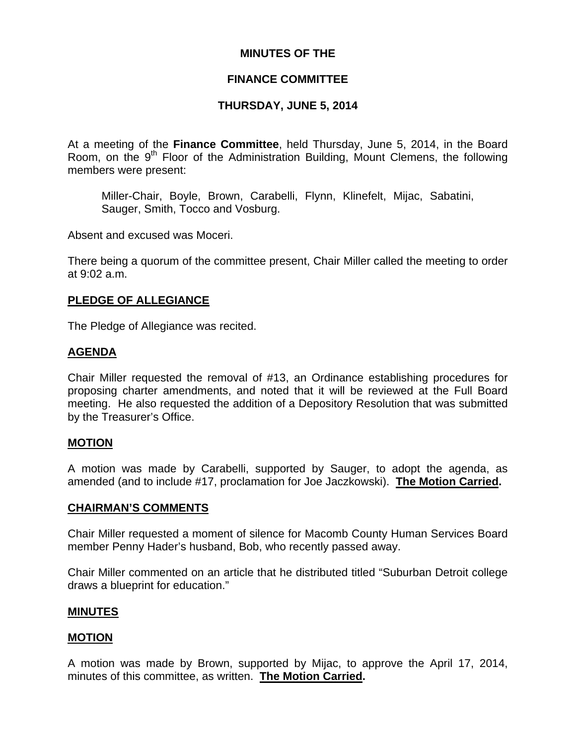# **MINUTES OF THE**

# **FINANCE COMMITTEE**

# **THURSDAY, JUNE 5, 2014**

At a meeting of the **Finance Committee**, held Thursday, June 5, 2014, in the Board Room, on the  $9<sup>th</sup>$  Floor of the Administration Building, Mount Clemens, the following members were present:

Miller-Chair, Boyle, Brown, Carabelli, Flynn, Klinefelt, Mijac, Sabatini, Sauger, Smith, Tocco and Vosburg.

Absent and excused was Moceri.

There being a quorum of the committee present, Chair Miller called the meeting to order at 9:02 a.m.

### **PLEDGE OF ALLEGIANCE**

The Pledge of Allegiance was recited.

### **AGENDA**

Chair Miller requested the removal of #13, an Ordinance establishing procedures for proposing charter amendments, and noted that it will be reviewed at the Full Board meeting. He also requested the addition of a Depository Resolution that was submitted by the Treasurer's Office.

#### **MOTION**

A motion was made by Carabelli, supported by Sauger, to adopt the agenda, as amended (and to include #17, proclamation for Joe Jaczkowski). **The Motion Carried.** 

#### **CHAIRMAN'S COMMENTS**

Chair Miller requested a moment of silence for Macomb County Human Services Board member Penny Hader's husband, Bob, who recently passed away.

Chair Miller commented on an article that he distributed titled "Suburban Detroit college draws a blueprint for education."

#### **MINUTES**

#### **MOTION**

A motion was made by Brown, supported by Mijac, to approve the April 17, 2014, minutes of this committee, as written. **The Motion Carried.**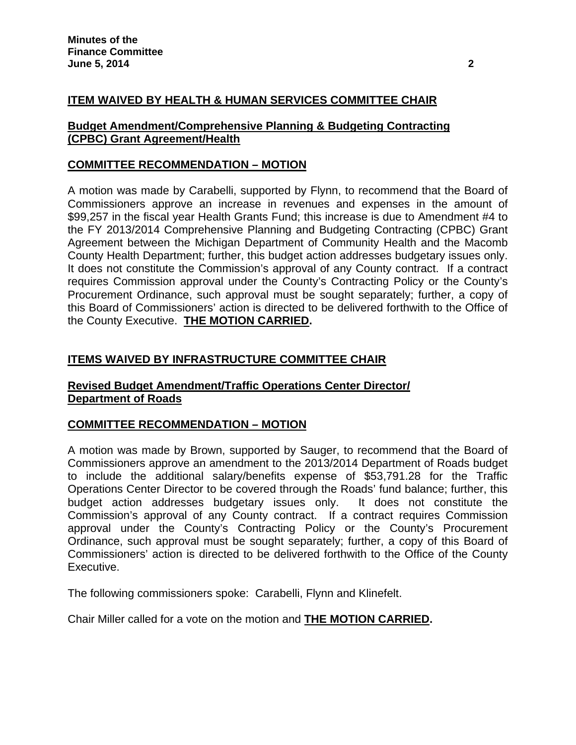# **ITEM WAIVED BY HEALTH & HUMAN SERVICES COMMITTEE CHAIR**

### **Budget Amendment/Comprehensive Planning & Budgeting Contracting (CPBC) Grant Agreement/Health**

### **COMMITTEE RECOMMENDATION – MOTION**

A motion was made by Carabelli, supported by Flynn, to recommend that the Board of Commissioners approve an increase in revenues and expenses in the amount of \$99,257 in the fiscal year Health Grants Fund; this increase is due to Amendment #4 to the FY 2013/2014 Comprehensive Planning and Budgeting Contracting (CPBC) Grant Agreement between the Michigan Department of Community Health and the Macomb County Health Department; further, this budget action addresses budgetary issues only. It does not constitute the Commission's approval of any County contract. If a contract requires Commission approval under the County's Contracting Policy or the County's Procurement Ordinance, such approval must be sought separately; further, a copy of this Board of Commissioners' action is directed to be delivered forthwith to the Office of the County Executive. **THE MOTION CARRIED.** 

# **ITEMS WAIVED BY INFRASTRUCTURE COMMITTEE CHAIR**

# **Revised Budget Amendment/Traffic Operations Center Director/ Department of Roads**

# **COMMITTEE RECOMMENDATION – MOTION**

A motion was made by Brown, supported by Sauger, to recommend that the Board of Commissioners approve an amendment to the 2013/2014 Department of Roads budget to include the additional salary/benefits expense of \$53,791.28 for the Traffic Operations Center Director to be covered through the Roads' fund balance; further, this budget action addresses budgetary issues only. It does not constitute the Commission's approval of any County contract. If a contract requires Commission approval under the County's Contracting Policy or the County's Procurement Ordinance, such approval must be sought separately; further, a copy of this Board of Commissioners' action is directed to be delivered forthwith to the Office of the County Executive.

The following commissioners spoke: Carabelli, Flynn and Klinefelt.

Chair Miller called for a vote on the motion and **THE MOTION CARRIED.**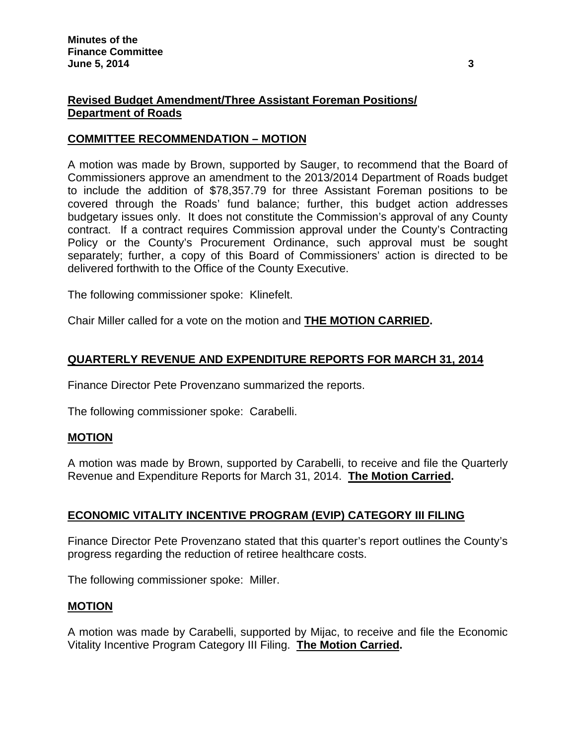# **Revised Budget Amendment/Three Assistant Foreman Positions/ Department of Roads**

# **COMMITTEE RECOMMENDATION – MOTION**

A motion was made by Brown, supported by Sauger, to recommend that the Board of Commissioners approve an amendment to the 2013/2014 Department of Roads budget to include the addition of \$78,357.79 for three Assistant Foreman positions to be covered through the Roads' fund balance; further, this budget action addresses budgetary issues only. It does not constitute the Commission's approval of any County contract. If a contract requires Commission approval under the County's Contracting Policy or the County's Procurement Ordinance, such approval must be sought separately; further, a copy of this Board of Commissioners' action is directed to be delivered forthwith to the Office of the County Executive.

The following commissioner spoke: Klinefelt.

Chair Miller called for a vote on the motion and **THE MOTION CARRIED.** 

# **QUARTERLY REVENUE AND EXPENDITURE REPORTS FOR MARCH 31, 2014**

Finance Director Pete Provenzano summarized the reports.

The following commissioner spoke: Carabelli.

#### **MOTION**

A motion was made by Brown, supported by Carabelli, to receive and file the Quarterly Revenue and Expenditure Reports for March 31, 2014. **The Motion Carried.** 

# **ECONOMIC VITALITY INCENTIVE PROGRAM (EVIP) CATEGORY III FILING**

Finance Director Pete Provenzano stated that this quarter's report outlines the County's progress regarding the reduction of retiree healthcare costs.

The following commissioner spoke: Miller.

#### **MOTION**

A motion was made by Carabelli, supported by Mijac, to receive and file the Economic Vitality Incentive Program Category III Filing. **The Motion Carried.**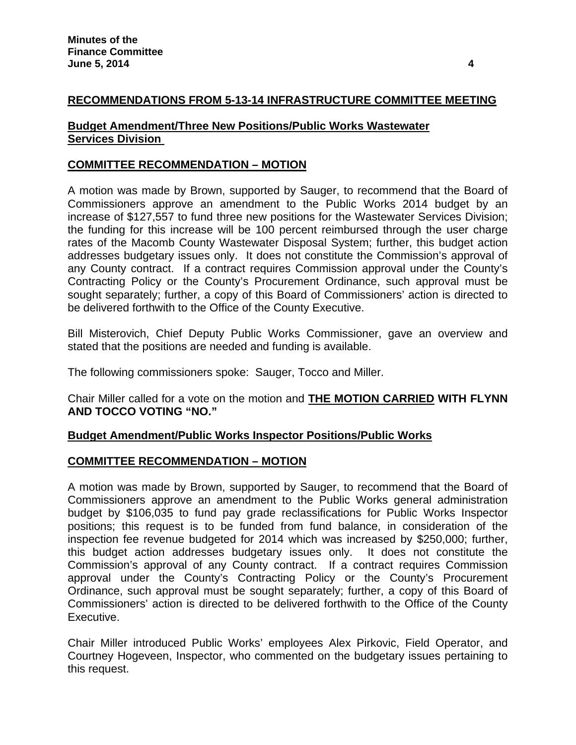# **RECOMMENDATIONS FROM 5-13-14 INFRASTRUCTURE COMMITTEE MEETING**

### **Budget Amendment/Three New Positions/Public Works Wastewater Services Division**

# **COMMITTEE RECOMMENDATION – MOTION**

A motion was made by Brown, supported by Sauger, to recommend that the Board of Commissioners approve an amendment to the Public Works 2014 budget by an increase of \$127,557 to fund three new positions for the Wastewater Services Division; the funding for this increase will be 100 percent reimbursed through the user charge rates of the Macomb County Wastewater Disposal System; further, this budget action addresses budgetary issues only. It does not constitute the Commission's approval of any County contract. If a contract requires Commission approval under the County's Contracting Policy or the County's Procurement Ordinance, such approval must be sought separately; further, a copy of this Board of Commissioners' action is directed to be delivered forthwith to the Office of the County Executive.

Bill Misterovich, Chief Deputy Public Works Commissioner, gave an overview and stated that the positions are needed and funding is available.

The following commissioners spoke: Sauger, Tocco and Miller.

Chair Miller called for a vote on the motion and **THE MOTION CARRIED WITH FLYNN AND TOCCO VOTING "NO."** 

# **Budget Amendment/Public Works Inspector Positions/Public Works**

#### **COMMITTEE RECOMMENDATION – MOTION**

A motion was made by Brown, supported by Sauger, to recommend that the Board of Commissioners approve an amendment to the Public Works general administration budget by \$106,035 to fund pay grade reclassifications for Public Works Inspector positions; this request is to be funded from fund balance, in consideration of the inspection fee revenue budgeted for 2014 which was increased by \$250,000; further, this budget action addresses budgetary issues only. It does not constitute the Commission's approval of any County contract. If a contract requires Commission approval under the County's Contracting Policy or the County's Procurement Ordinance, such approval must be sought separately; further, a copy of this Board of Commissioners' action is directed to be delivered forthwith to the Office of the County Executive.

Chair Miller introduced Public Works' employees Alex Pirkovic, Field Operator, and Courtney Hogeveen, Inspector, who commented on the budgetary issues pertaining to this request.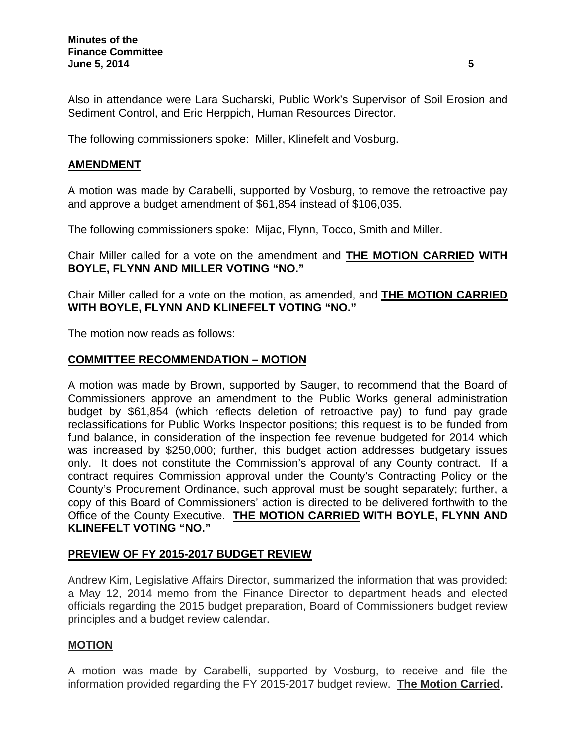Also in attendance were Lara Sucharski, Public Work's Supervisor of Soil Erosion and Sediment Control, and Eric Herppich, Human Resources Director.

The following commissioners spoke: Miller, Klinefelt and Vosburg.

### **AMENDMENT**

A motion was made by Carabelli, supported by Vosburg, to remove the retroactive pay and approve a budget amendment of \$61,854 instead of \$106,035.

The following commissioners spoke: Mijac, Flynn, Tocco, Smith and Miller.

Chair Miller called for a vote on the amendment and **THE MOTION CARRIED WITH BOYLE, FLYNN AND MILLER VOTING "NO."** 

Chair Miller called for a vote on the motion, as amended, and **THE MOTION CARRIED WITH BOYLE, FLYNN AND KLINEFELT VOTING "NO."** 

The motion now reads as follows:

# **COMMITTEE RECOMMENDATION – MOTION**

A motion was made by Brown, supported by Sauger, to recommend that the Board of Commissioners approve an amendment to the Public Works general administration budget by \$61,854 (which reflects deletion of retroactive pay) to fund pay grade reclassifications for Public Works Inspector positions; this request is to be funded from fund balance, in consideration of the inspection fee revenue budgeted for 2014 which was increased by \$250,000; further, this budget action addresses budgetary issues only. It does not constitute the Commission's approval of any County contract. If a contract requires Commission approval under the County's Contracting Policy or the County's Procurement Ordinance, such approval must be sought separately; further, a copy of this Board of Commissioners' action is directed to be delivered forthwith to the Office of the County Executive. **THE MOTION CARRIED WITH BOYLE, FLYNN AND KLINEFELT VOTING "NO."** 

# **PREVIEW OF FY 2015-2017 BUDGET REVIEW**

Andrew Kim, Legislative Affairs Director, summarized the information that was provided: a May 12, 2014 memo from the Finance Director to department heads and elected officials regarding the 2015 budget preparation, Board of Commissioners budget review principles and a budget review calendar.

#### **MOTION**

A motion was made by Carabelli, supported by Vosburg, to receive and file the information provided regarding the FY 2015-2017 budget review. **The Motion Carried.**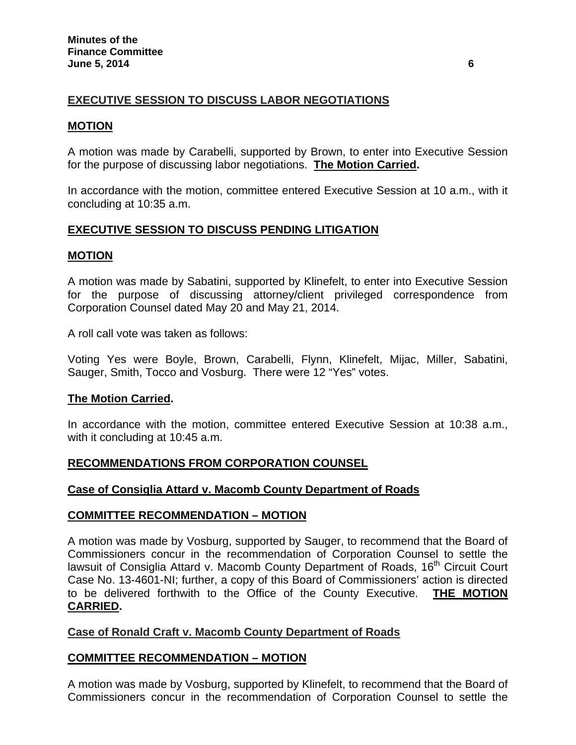# **EXECUTIVE SESSION TO DISCUSS LABOR NEGOTIATIONS**

### **MOTION**

A motion was made by Carabelli, supported by Brown, to enter into Executive Session for the purpose of discussing labor negotiations. **The Motion Carried.**

In accordance with the motion, committee entered Executive Session at 10 a.m., with it concluding at 10:35 a.m.

# **EXECUTIVE SESSION TO DISCUSS PENDING LITIGATION**

### **MOTION**

A motion was made by Sabatini, supported by Klinefelt, to enter into Executive Session for the purpose of discussing attorney/client privileged correspondence from Corporation Counsel dated May 20 and May 21, 2014.

A roll call vote was taken as follows:

Voting Yes were Boyle, Brown, Carabelli, Flynn, Klinefelt, Mijac, Miller, Sabatini, Sauger, Smith, Tocco and Vosburg. There were 12 "Yes" votes.

#### **The Motion Carried.**

In accordance with the motion, committee entered Executive Session at 10:38 a.m., with it concluding at 10:45 a.m.

# **RECOMMENDATIONS FROM CORPORATION COUNSEL**

#### **Case of Consiglia Attard v. Macomb County Department of Roads**

#### **COMMITTEE RECOMMENDATION – MOTION**

A motion was made by Vosburg, supported by Sauger, to recommend that the Board of Commissioners concur in the recommendation of Corporation Counsel to settle the lawsuit of Consiglia Attard v. Macomb County Department of Roads, 16<sup>th</sup> Circuit Court Case No. 13-4601-NI; further, a copy of this Board of Commissioners' action is directed to be delivered forthwith to the Office of the County Executive. **THE MOTION CARRIED.** 

# **Case of Ronald Craft v. Macomb County Department of Roads**

# **COMMITTEE RECOMMENDATION – MOTION**

A motion was made by Vosburg, supported by Klinefelt, to recommend that the Board of Commissioners concur in the recommendation of Corporation Counsel to settle the